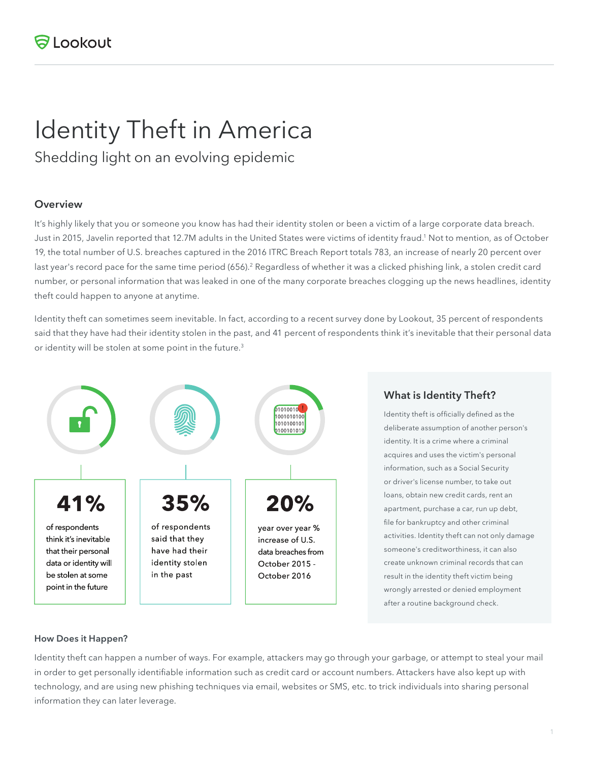# Identity Theft in America

Shedding light on an evolving epidemic

## **Overview**

It's highly likely that you or someone you know has had their identity stolen or been a victim of a large corporate data breach. Just in 2015, Javelin reported that 12.7M adults in the United States were victims of identity fraud.<sup>1</sup> Not to mention, as of October 19, the total number of U.S. breaches captured in the 2016 ITRC Breach Report totals 783, an increase of nearly 20 percent over last year's record pace for the same time period (656).<sup>2</sup> Regardless of whether it was a clicked phishing link, a stolen credit card number, or personal information that was leaked in one of the many corporate breaches clogging up the news headlines, identity theft could happen to anyone at anytime.

Identity theft can sometimes seem inevitable. In fact, according to a recent survey done by Lookout, 35 percent of respondents said that they have had their identity stolen in the past, and 41 percent of respondents think it's inevitable that their personal data or identity will be stolen at some point in the future.<sup>3</sup>



## **What is Identity Theft?**

Identity theft is officially defined as the deliberate assumption of another person's identity. It is a crime where a criminal acquires and uses the victim's personal information, such as a Social Security or driver's license number, to take out loans, obtain new credit cards, rent an apartment, purchase a car, run up debt, file for bankruptcy and other criminal activities. Identity theft can not only damage someone's creditworthiness, it can also create unknown criminal records that can result in the identity theft victim being wrongly arrested or denied employment after a routine background check.

## **How Does it Happen?**

Identity theft can happen a number of ways. For example, attackers may go through your garbage, or attempt to steal your mail in order to get personally identifiable information such as credit card or account numbers. Attackers have also kept up with technology, and are using new phishing techniques via email, websites or SMS, etc. to trick individuals into sharing personal information they can later leverage.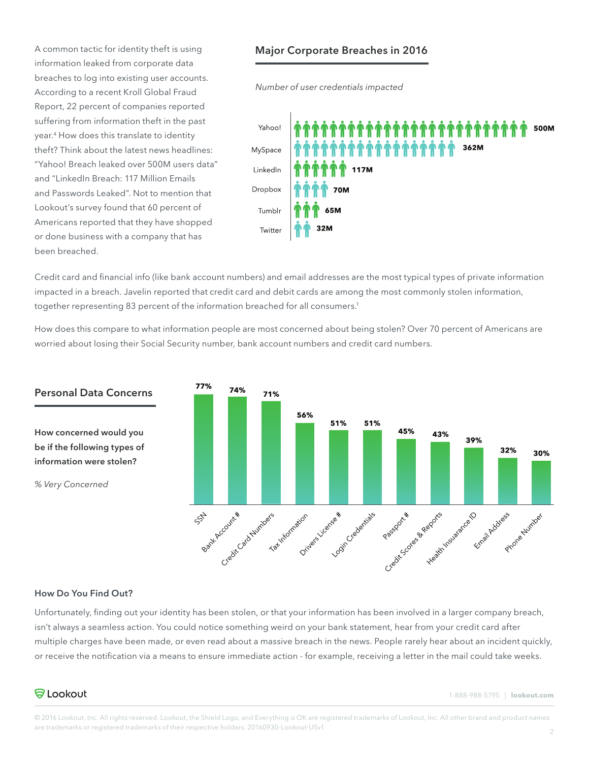A common tactic for identity theft is using information leaked from corporate data breaches to log into existing user accounts. According to a recent Kroll Global Fraud Report, 22 percent of companies reported suffering from information theft in the past year.4 How does this translate to identity theft? Think about the latest news headlines: "Yahoo! Breach leaked over 500M users data" and "LinkedIn Breach: 117 Million Emails and Passwords Leaked". Not to mention that Lookout's survey found that 60 percent of Americans reported that they have shopped or done business with a company that has been breached.

## **Major Corporate Breaches in 2016**

*Number of user credentials impacted* 



Credit card and financial info (like bank account numbers) and email addresses are the most typical types of private information impacted in a breach. Javelin reported that credit card and debit cards are among the most commonly stolen information, together representing 83 percent of the information breached for all consumers.<sup>1</sup>

How does this compare to what information people are most concerned about being stolen? Over 70 percent of Americans are worried about losing their Social Security number, bank account numbers and credit card numbers.



# **Personal Data Concerns**

**How concerned would you be if the following types of information were stolen?** 

*% Very Concerned*

#### **How Do You Find Out?**

Unfortunately, finding out your identity has been stolen, or that your information has been involved in a larger company breach, isn't always a seamless action. You could notice something weird on your bank statement, hear from your credit card after multiple charges have been made, or even read about a massive breach in the news. People rarely hear about an incident quickly, or receive the notification via a means to ensure immediate action - for example, receiving a letter in the mail could take weeks.

## **る**Lookout

1-888-988-5795 | **lookout.com**

© 2016 Lookout, Inc. All rights reserved. Lookout, the Shield Logo, and Everything is OK are registered trademarks of Lookout, Inc. All other brand and product names are trademarks or registered trademarks of their respective holders. 20160930-Lookout-USv1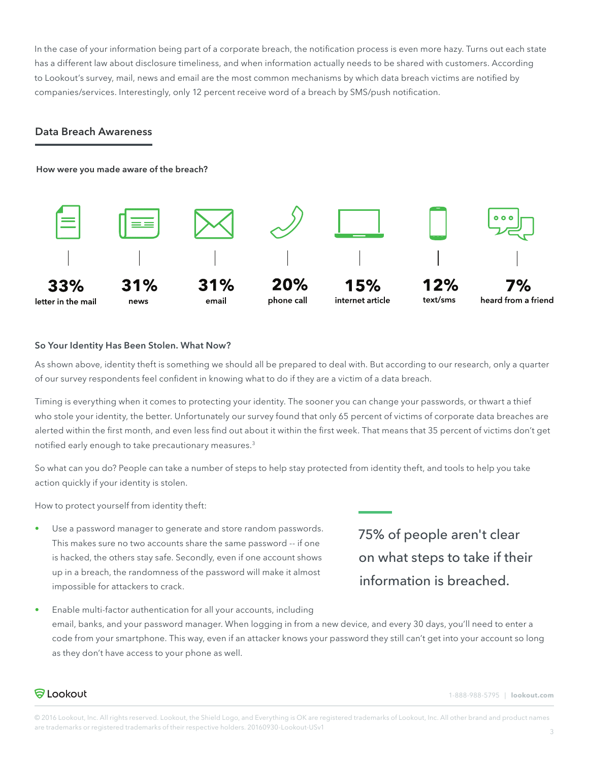In the case of your information being part of a corporate breach, the notification process is even more hazy. Turns out each state has a different law about disclosure timeliness, and when information actually needs to be shared with customers. According to Lookout's survey, mail, news and email are the most common mechanisms by which data breach victims are notified by companies/services. Interestingly, only 12 percent receive word of a breach by SMS/push notification.

## **Data Breach Awareness**

**How were you made aware of the breach?**



## **So Your Identity Has Been Stolen. What Now?**

As shown above, identity theft is something we should all be prepared to deal with. But according to our research, only a quarter of our survey respondents feel confident in knowing what to do if they are a victim of a data breach.

Timing is everything when it comes to protecting your identity. The sooner you can change your passwords, or thwart a thief who stole your identity, the better. Unfortunately our survey found that only 65 percent of victims of corporate data breaches are alerted within the first month, and even less find out about it within the first week. That means that 35 percent of victims don't get notified early enough to take precautionary measures.3

So what can you do? People can take a number of steps to help stay protected from identity theft, and tools to help you take action quickly if your identity is stolen.

How to protect yourself from identity theft:

Use a password manager to generate and store random passwords. This makes sure no two accounts share the same password -- if one is hacked, the others stay safe. Secondly, even if one account shows up in a breach, the randomness of the password will make it almost impossible for attackers to crack.

75% of people aren't clear on what steps to take if their information is breached.

• Enable multi-factor authentication for all your accounts, including email, banks, and your password manager. When logging in from a new device, and every 30 days, you'll need to enter a code from your smartphone. This way, even if an attacker knows your password they still can't get into your account so long as they don't have access to your phone as well.

**る**Lookout

1-888-988-5795 | **lookout.com**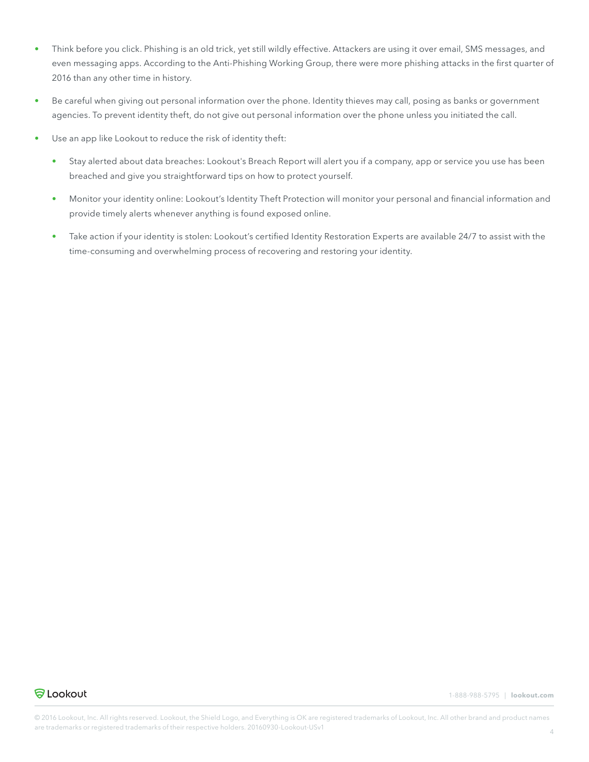- Think before you click. Phishing is an old trick, yet still wildly effective. Attackers are using it over email, SMS messages, and even messaging apps. According to the Anti-Phishing Working Group, there were more phishing attacks in the first quarter of 2016 than any other time in history.
- Be careful when giving out personal information over the phone. Identity thieves may call, posing as banks or government agencies. To prevent identity theft, do not give out personal information over the phone unless you initiated the call.
- Use an app like Lookout to reduce the risk of identity theft:
	- Stay alerted about data breaches: Lookout's Breach Report will alert you if a company, app or service you use has been breached and give you straightforward tips on how to protect yourself.
	- Monitor your identity online: Lookout's Identity Theft Protection will monitor your personal and financial information and provide timely alerts whenever anything is found exposed online.
	- Take action if your identity is stolen: Lookout's certified Identity Restoration Experts are available 24/7 to assist with the time-consuming and overwhelming process of recovering and restoring your identity.



1-888-988-5795 | **lookout.com**

© 2016 Lookout, Inc. All rights reserved. Lookout, the Shield Logo, and Everything is OK are registered trademarks of Lookout, Inc. All other brand and product names are trademarks or registered trademarks of their respective holders. 20160930-Lookout-USv1